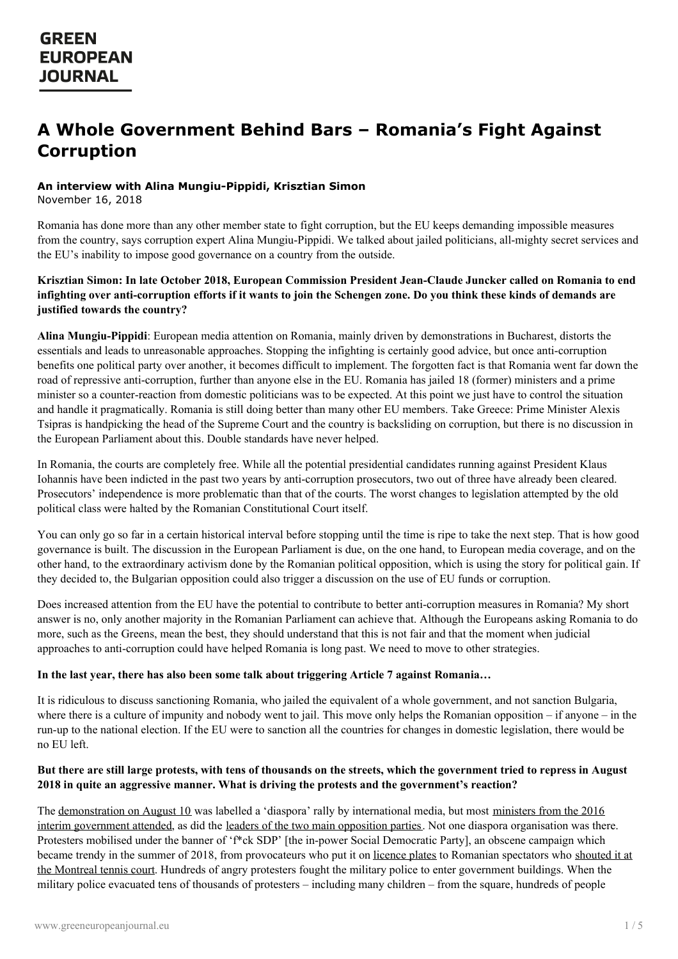# **A Whole Government Behind Bars – Romania's Fight Against Corruption**

# **An interview with Alina Mungiu-Pippidi, Krisztian Simon**

November 16, 2018

Romania has done more than any other member state to fight corruption, but the EU keeps demanding impossible measures from the country, says corruption expert Alina Mungiu-Pippidi. We talked about jailed politicians, all-mighty secret services and the EU's inability to impose good governance on a country from the outside.

## Krisztian Simon: In late October 2018, European Commission President Jean-Claude Juncker called on Romania to end infighting over anti-corruption efforts if it wants to join the Schengen zone. Do you think these kinds of demands are **justified towards the country?**

**Alina Mungiu-Pippidi**: European media attention on Romania, mainly driven by demonstrations in Bucharest, distorts the essentials and leads to unreasonable approaches. Stopping the infighting is certainly good advice, but once anti-corruption benefits one political party over another, it becomes difficult to implement. The forgotten fact is that Romania went far down the road of repressive anti-corruption, further than anyone else in the EU. Romania has jailed 18 (former) ministers and a prime minister so a counter-reaction from domestic politicians was to be expected. At this point we just have to control the situation and handle it pragmatically. Romania is still doing better than many other EU members. Take Greece: Prime Minister Alexis Tsipras is handpicking the head of the Supreme Court and the country is backsliding on corruption, but there is no discussion in the European Parliament about this. Double standards have never helped.

In Romania, the courts are completely free. While all the potential presidential candidates running against President Klaus Iohannis have been indicted in the past two years by anti-corruption prosecutors, two out of three have already been cleared. Prosecutors' independence is more problematic than that of the courts. The worst changes to legislation attempted by the old political class were halted by the Romanian Constitutional Court itself.

You can only go so far in a certain historical interval before stopping until the time is ripe to take the next step. That is how good governance is built. The discussion in the European Parliament is due, on the one hand, to European media coverage, and on the other hand, to the extraordinary activism done by the Romanian political opposition, which is using the story for political gain. If they decided to, the Bulgarian opposition could also trigger a discussion on the use of EU funds or corruption.

Does increased attention from the EU have the potential to contribute to better anti-corruption measures in Romania? My short answer is no, only another majority in the Romanian Parliament can achieve that. Although the Europeans asking Romania to do more, such as the Greens, mean the best, they should understand that this is not fair and that the moment when judicial approaches to anti-corruption could have helped Romania is long past. We need to move to other strategies.

### **In the last year, there has also been some talk about triggering Article 7 against Romania…**

It is ridiculous to discuss sanctioning Romania, who jailed the equivalent of a whole government, and not sanction Bulgaria, where there is a culture of impunity and nobody went to jail. This move only helps the Romanian opposition – if anyone – in the run-up to the national election. If the EU were to sanction all the countries for changes in domestic legislation, there would be no EU left.

# But there are still large protests, with tens of thousands on the streets, which the government tried to repress in August **2018 in quite an aggressive manner. What is driving the protests and the government's reaction?**

The [demonstration](https://www.hotnews.ro/stiri-politic-22606932-ludovic-orban-ncurajat-membrii-simpatizan-pnl-participe-mitingul-10-august.htm) on August 10 was labelled a 'diaspora' rally by international media, but most ministers from the 2016 interim government attended, as did the leaders of the two main [opposition](https://adevarul.ro/news/politica/video-dan-barna-mitingul-piata-victoriei-este-abuz-incredibil-stat-decide-sa-si-gazeze-propriii-cetateni-1_5b6dc380df52022f753a409b/index.html) parties. Not one diaspora organisation was there. Protesters mobilised under the banner of 'f<sup>\*</sup>ck SDP' [the in-power Social Democratic Party], an obscene campaign which became trendy in the summer of 2018, from [provocateurs](https://www.romania-insider.com/simona-halep-wins-rogers-cup-2018/) who put it on [licence](http://www.euronews.com/2018/07/20/when-a-number-plate-becomes-a-political-statement) plates to Romanian spectators who shouted it at the Montreal tennis court. Hundreds of angry protesters fought the military police to enter government buildings. When the military police evacuated tens of thousands of protesters – including many children – from the square, hundreds of people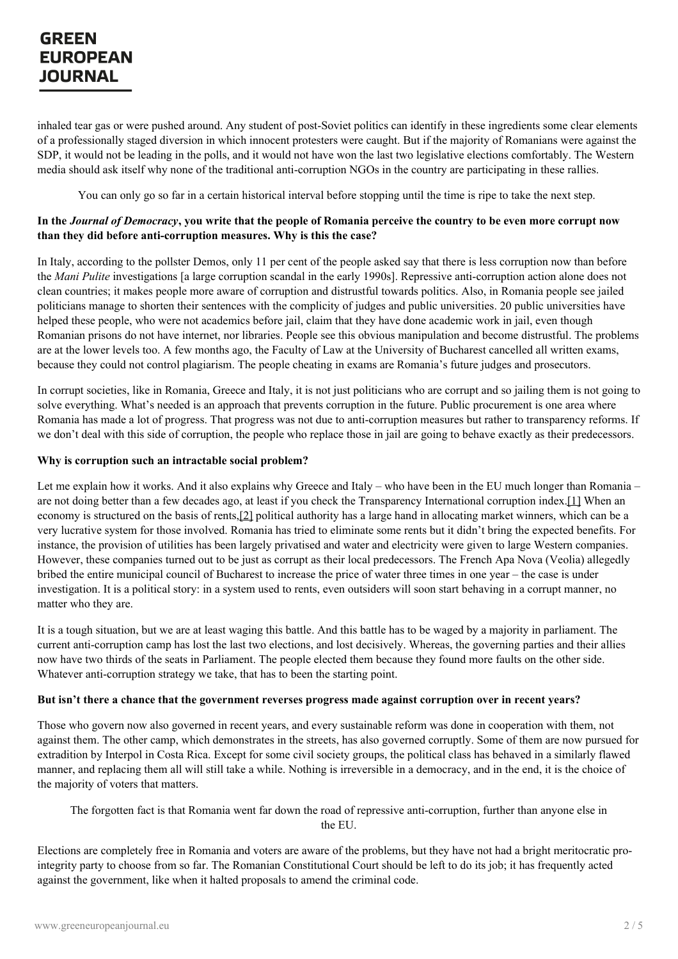# GREEN **EUROPEAN JOURNAL**

inhaled tear gas or were pushed around. Any student of post-Soviet politics can identify in these ingredients some clear elements of a professionally staged diversion in which innocent protesters were caught. But if the majority of Romanians were against the SDP, it would not be leading in the polls, and it would not have won the last two legislative elections comfortably. The Western media should ask itself why none of the traditional anti-corruption NGOs in the country are participating in these rallies.

You can only go so far in a certain historical interval before stopping until the time is ripe to take the next step.

### In the *Journal of Democracy*, you write that the people of Romania perceive the country to be even more corrupt now **than they did before anti-corruption measures. Why is this the case?**

In Italy, according to the pollster Demos, only 11 per cent of the people asked say that there is less corruption now than before the *Mani Pulite* investigations [a large corruption scandal in the early 1990s]. Repressive anti-corruption action alone does not clean countries; it makes people more aware of corruption and distrustful towards politics. Also, in Romania people see jailed politicians manage to shorten their sentences with the complicity of judges and public universities. 20 public universities have helped these people, who were not academics before jail, claim that they have done academic work in jail, even though Romanian prisons do not have internet, nor libraries. People see this obvious manipulation and become distrustful. The problems are at the lower levels too. A few months ago, the Faculty of Law at the University of Bucharest cancelled all written exams, because they could not control plagiarism. The people cheating in exams are Romania's future judges and prosecutors.

In corrupt societies, like in Romania, Greece and Italy, it is not just politicians who are corrupt and so jailing them is not going to solve everything. What's needed is an approach that prevents corruption in the future. Public procurement is one area where Romania has made a lot of progress. That progress was not due to anti-corruption measures but rather to transparency reforms. If we don't deal with this side of corruption, the people who replace those in jail are going to behave exactly as their predecessors.

#### **Why is corruption such an intractable social problem?**

<span id="page-1-1"></span><span id="page-1-0"></span>Let me explain how it works. And it also explains why Greece and Italy – who have been in the EU much longer than Romania – are not doing better than a few decades ago, at least if you check the Transparency International corruption index[.\[1\]](#page-3-0) When an economy is structured on the basis of rents[,\[2\]](#page-3-1) political authority has a large hand in allocating market winners, which can be a very lucrative system for those involved. Romania has tried to eliminate some rents but it didn't bring the expected benefits. For instance, the provision of utilities has been largely privatised and water and electricity were given to large Western companies. However, these companies turned out to be just as corrupt as their local predecessors. The French Apa Nova (Veolia) allegedly bribed the entire municipal council of Bucharest to increase the price of water three times in one year – the case is under investigation. It is a political story: in a system used to rents, even outsiders will soon start behaving in a corrupt manner, no matter who they are.

It is a tough situation, but we are at least waging this battle. And this battle has to be waged by a majority in parliament. The current anti-corruption camp has lost the last two elections, and lost decisively. Whereas, the governing parties and their allies now have two thirds of the seats in Parliament. The people elected them because they found more faults on the other side. Whatever anti-corruption strategy we take, that has to been the starting point.

### But isn't there a chance that the government reverses progress made against corruption over in recent years?

Those who govern now also governed in recent years, and every sustainable reform was done in cooperation with them, not against them. The other camp, which demonstrates in the streets, has also governed corruptly. Some of them are now pursued for extradition by Interpol in Costa Rica. Except for some civil society groups, the political class has behaved in a similarly flawed manner, and replacing them all will still take a while. Nothing is irreversible in a democracy, and in the end, it is the choice of the majority of voters that matters.

### The [forgotten](https://www.greeneuropeanjournal.eu) fact is that Romania went far down the road of repressive anti-corruption, further than anyone else in the EU.

Elections are completely free in Romania and voters are aware of the problems, but they have not had a bright meritocratic prointegrity party to choose from so far. The Romanian Constitutional Court should be left to do its job; it has frequently acted against the government, like when it halted proposals to amend the criminal code.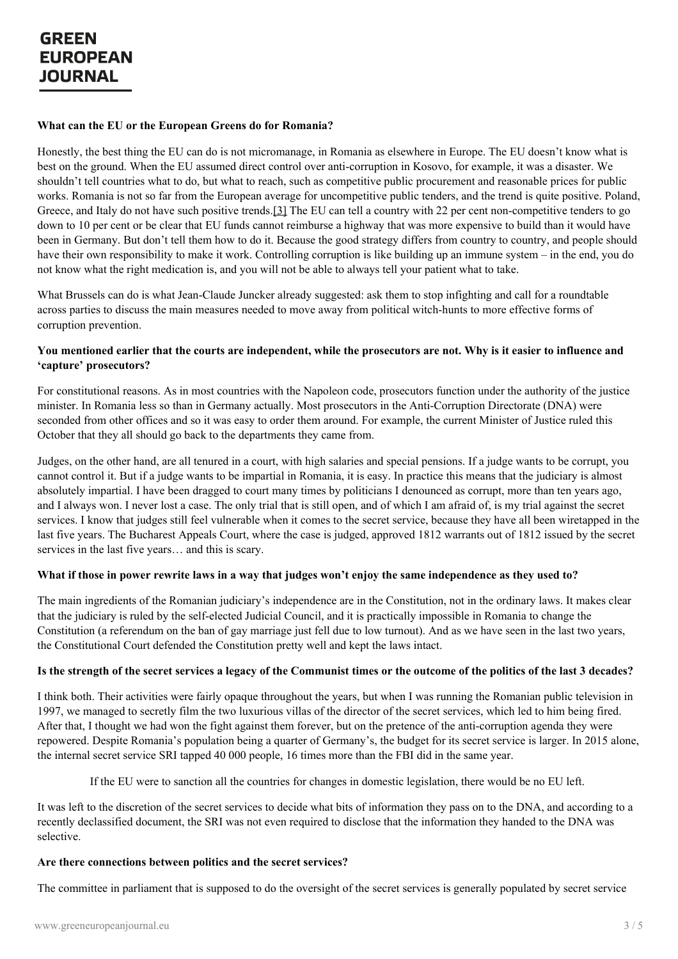#### **What can the EU or the European Greens do for Romania?**

<span id="page-2-0"></span>Honestly, the best thing the EU can do is not micromanage, in Romania as elsewhere in Europe. The EU doesn't know what is best on the ground. When the EU assumed direct control over anti-corruption in Kosovo, for example, it was a disaster. We shouldn't tell countries what to do, but what to reach, such as competitive public procurement and reasonable prices for public works. Romania is not so far from the European average for uncompetitive public tenders, and the trend is quite positive. Poland, Greece, and Italy do not have such positive trends[.\[3\]](#page-3-2) The EU can tell a country with 22 per cent non-competitive tenders to go down to 10 per cent or be clear that EU funds cannot reimburse a highway that was more expensive to build than it would have been in Germany. But don't tell them how to do it. Because the good strategy differs from country to country, and people should have their own responsibility to make it work. Controlling corruption is like building up an immune system – in the end, you do not know what the right medication is, and you will not be able to always tell your patient what to take.

What Brussels can do is what Jean-Claude Juncker already suggested: ask them to stop infighting and call for a roundtable across parties to discuss the main measures needed to move away from political witch-hunts to more effective forms of corruption prevention.

## You mentioned earlier that the courts are independent, while the prosecutors are not. Why is it easier to influence and **'capture' prosecutors?**

For constitutional reasons. As in most countries with the Napoleon code, prosecutors function under the authority of the justice minister. In Romania less so than in Germany actually. Most prosecutors in the Anti-Corruption Directorate (DNA) were seconded from other offices and so it was easy to order them around. For example, the current Minister of Justice ruled this October that they all should go back to the departments they came from.

Judges, on the other hand, are all tenured in a court, with high salaries and special pensions. If a judge wants to be corrupt, you cannot control it. But if a judge wants to be impartial in Romania, it is easy. In practice this means that the judiciary is almost absolutely impartial. I have been dragged to court many times by politicians I denounced as corrupt, more than ten years ago, and I always won. I never lost a case. The only trial that is still open, and of which I am afraid of, is my trial against the secret services. I know that judges still feel vulnerable when it comes to the secret service, because they have all been wiretapped in the last five years. The Bucharest Appeals Court, where the case is judged, approved 1812 warrants out of 1812 issued by the secret services in the last five years… and this is scary.

### What if those in power rewrite laws in a way that judges won't enjoy the same independence as they used to?

The main ingredients of the Romanian judiciary's independence are in the Constitution, not in the ordinary laws. It makes clear that the judiciary is ruled by the self-elected Judicial Council, and it is practically impossible in Romania to change the Constitution (a referendum on the ban of gay marriage just fell due to low turnout). And as we have seen in the last two years, the Constitutional Court defended the Constitution pretty well and kept the laws intact.

### Is the strength of the secret services a legacy of the Communist times or the outcome of the politics of the last 3 decades?

I think both. Their activities were fairly opaque throughout the years, but when I was running the Romanian public television in 1997, we managed to secretly film the two luxurious villas of the director of the secret services, which led to him being fired. After that, I thought we had won the fight against them forever, but on the pretence of the anti-corruption agenda they were repowered. Despite Romania's population being a quarter of Germany's, the budget for its secret service is larger. In 2015 alone, the internal secret service SRI tapped 40 000 people, 16 times more than the FBI did in the same year.

If the EU were to sanction all the countries for changes in domestic legislation, there would be no EU left.

It was left to the [discretion](https://www.greeneuropeanjournal.eu) of the secret services to decide what bits of information they pass on to the DNA, and according to a recently declassified document, the SRI was not even required to disclose that the information they handed to the DNA was selective.

### **Are there connections between politics and the secret services?**

The committee in parliament that is supposed to do the oversight of the secret services is generally populated by secret service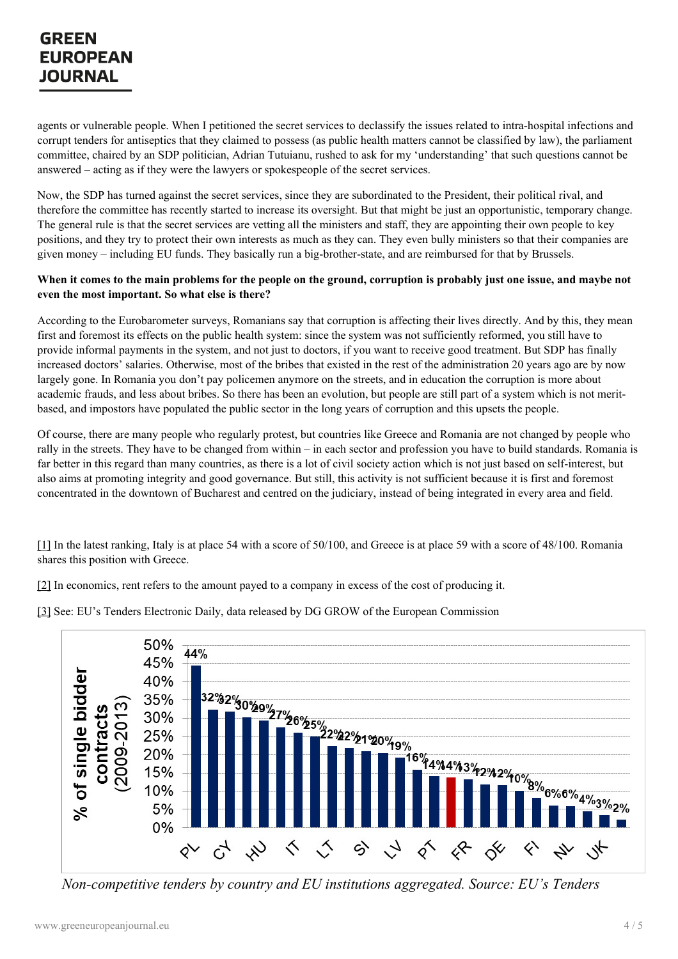# GREEN **EUROPEAN JOURNAL**

agents or vulnerable people. When I petitioned the secret services to declassify the issues related to intra-hospital infections and corrupt tenders for antiseptics that they claimed to possess (as public health matters cannot be classified by law), the parliament committee, chaired by an SDP politician, Adrian Tutuianu, rushed to ask for my 'understanding' that such questions cannot be answered – acting as if they were the lawyers or spokespeople of the secret services.

Now, the SDP has turned against the secret services, since they are subordinated to the President, their political rival, and therefore the committee has recently started to increase its oversight. But that might be just an opportunistic, temporary change. The general rule is that the secret services are vetting all the ministers and staff, they are appointing their own people to key positions, and they try to protect their own interests as much as they can. They even bully ministers so that their companies are given money – including EU funds. They basically run a big-brother-state, and are reimbursed for that by Brussels.

## When it comes to the main problems for the people on the ground, corruption is probably just one issue, and maybe not **even the most important. So what else is there?**

According to the Eurobarometer surveys, Romanians say that corruption is affecting their lives directly. And by this, they mean first and foremost its effects on the public health system: since the system was not sufficiently reformed, you still have to provide informal payments in the system, and not just to doctors, if you want to receive good treatment. But SDP has finally increased doctors' salaries. Otherwise, most of the bribes that existed in the rest of the administration 20 years ago are by now largely gone. In Romania you don't pay policemen anymore on the streets, and in education the corruption is more about academic frauds, and less about bribes. So there has been an evolution, but people are still part of a system which is not meritbased, and impostors have populated the public sector in the long years of corruption and this upsets the people.

Of course, there are many people who regularly protest, but countries like Greece and Romania are not changed by people who rally in the streets. They have to be changed from within – in each sector and profession you have to build standards. Romania is far better in this regard than many countries, as there is a lot of civil society action which is not just based on self-interest, but also aims at promoting integrity and good governance. But still, this activity is not sufficient because it is first and foremost concentrated in the downtown of Bucharest and centred on the judiciary, instead of being integrated in every area and field.

<span id="page-3-0"></span>[\[1\]](#page-1-0) In the latest ranking, Italy is at place 54 with a score of 50/100, and Greece is at place 59 with a score of 48/100. Romania shares this position with Greece.

[\[2\]](#page-1-1) In economics, rent refers to the amount payed to a company in excess of the cost of producing it.

<span id="page-3-2"></span>[\[3\]](#page-2-0) See: EU's Tenders Electronic Daily, data released by DG GROW of the European Commission

<span id="page-3-1"></span>

*Non-competitive tenders by country and EU institutions aggregated. Source: EU's Tenders*